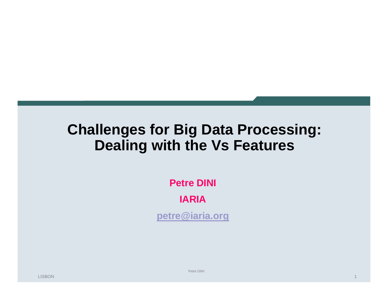## **Challenges for Big Data Processing: Dealing with the Vs Features**

**Petre DINI**

**IARIA**

**petre@iaria.org**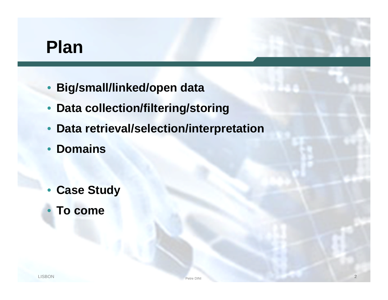# **Plan**

- **Big/small/linked/open data**
- **Data collection/filtering/storing**
- **Data retrieval/selection/interpretation**
- **Domains**
- **Case Study**
- **To come**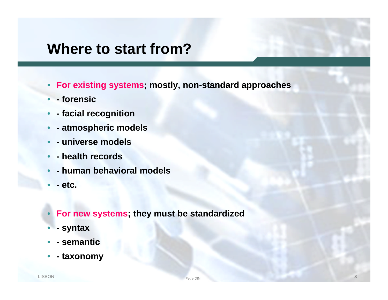#### **Where to start from?**

- **For existing systems; mostly, non-standard approaches**
- **- forensic**
- **- facial recognition**
- **- atmospheric models**
- **- universe models**
- **- health records**
- **- human behavioral models**
- **- etc.**
- **For new systems; they must be standardized**
- **- syntax**
- **- semantic**
- **- taxonomy**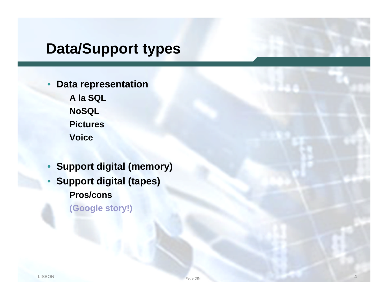## **Data/Support types**

- **Data representation A la SQL**
	- **NoSQL Pictures Voice**
- **Support digital (memory)** • **Support digital (tapes) Pros/cons (Google story!)**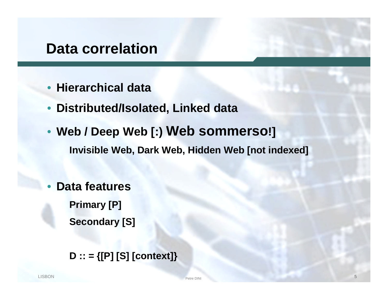#### **Data correlation**

- **Hierarchical data**
- **Distributed/Isolated, Linked data**
- **Web / Deep Web [:) Web sommerso!] Invisible Web, Dark Web, Hidden Web [not indexed]**
- **Data features Primary [P] Secondary [S]**

**D :: = {[P] [S] [context]}**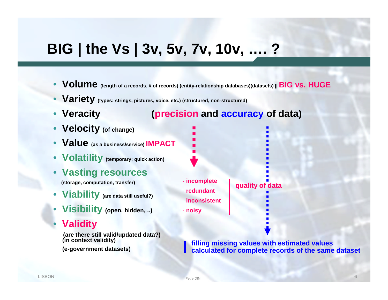## **BIG | the Vs | 3v, 5v, 7v, 10v, …. ?**

- **Volume (length of a records, # of records) (entity-relationship databases)(datasets) || BIG vs. HUGE**
- **Variety (types: strings, pictures, voice, etc.) (structured, non-structured)**
- 

#### • **Veracity (precision and accuracy of data)**

- **Velocity (of change)**
- **Value (as a business/service) IMPACT**
- **Volatility (temporary; quick action)**
- **Vasting resources**

**(storage, computation, transfer)**

- **Viability (are data still useful?)**
- **Visibility (open, hidden, ..)**
- **Validity**

**(are there still valid/updated data?) (in context validity) (e-government datasets)**

**- incomplete**

- **redundant**

- **inconsistent**

- **noisy**

**quality of data**

**filling missing values with estimated values calculated for complete records of the same dataset**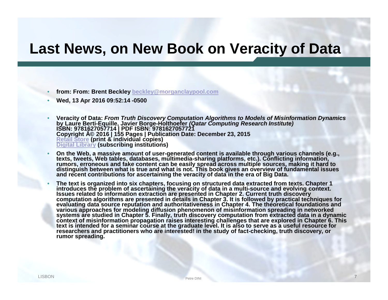### **Last News, on New Book on Veracity of Data**

- **from: From: Brent Beckley beckley@morganclaypool.com**
- **Wed, 13 Apr 2016 09:52:14 -0500**
- **Veracity of Data:** *From Truth Discovery Computation Algorithms to Models of Misinformation Dynamics* **by Laure Berti-Equille, Javier Borge-Holthoefer** *(Qatar Computing Research Institute)* **ISBN: 9781627057714 | PDF ISBN: 9781627057721 Copyright © 2016 | 155 Pages | Publication Date: December 23, 2015 Retail Store (print & individual copies) Digital Library (subscribing institutions)**
- **On the Web, a massive amount of user-generated content is available through various channels (e.g., texts, tweets, Web tables, databases, multimedia-sharing platforms, etc.). Conflicting information, rumors, erroneous and fake content can be easily spread across multiple sources, making it hard to distinguish between what is true and what is not. This book gives an overview of fundamental issues and recent contributions for ascertaining the veracity of data in the era of Big Data.**
- **The text is organized into six chapters, focusing on structured data extracted from texts. Chapter 1 introduces the problem of ascertaining the veracity of data in a multi-source and evolving context. Issues related to information extraction are presented in Chapter 2. Current truth discovery computation algorithms are presented in details in Chapter 3. It is followed by practical techniques for evaluating data source reputation and authoritativeness in Chapter 4. The theoretical foundations and various approaches for modeling diffusion phenomenon of misinformation spreading in networked systems are studied in Chapter 5. Finally, truth discovery computation from extracted data in a dynamic context of misinformation propagation raises interesting challenges that are explored in Chapter 6. This text is intended for a seminar course at the graduate level. It is also to serve as a useful resource for researchers and practitioners who are interested! in the study of fact-checking, truth discovery, or rumor spreading.**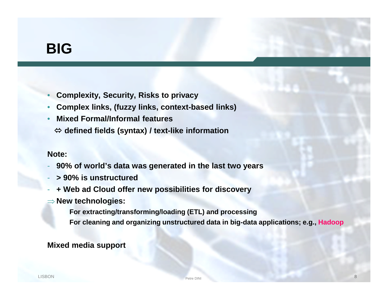### **BIG**

- **Complexity, Security, Risks to privacy**
- **Complex links, (fuzzy links, context-based links)**
- **Mixed Formal/Informal features**
	- **defined fields (syntax) / text-like information**

#### **Note:**

- **90% of world's data was generated in the last two years**
- **> 90% is unstructured**
- **+ Web ad Cloud offer new possibilities for discovery**
- **New technologies:**
	- **For extracting/transforming/loading (ETL) and processing**
	- **For cleaning and organizing unstructured data in big-data applications; e.g., Hadoop**

**Mixed media support**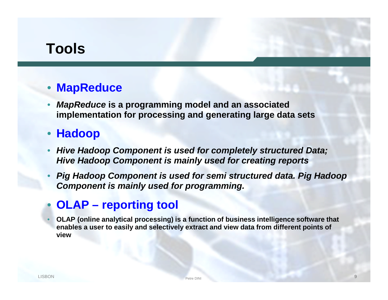## **Tools**

#### • **MapReduce**

• *MapReduce* **is a programming model and an associated implementation for processing and generating large data sets**

#### • **Hadoop**

- *Hive Hadoop Component is used for completely structured Data; Hive Hadoop Component is mainly used for creating reports*
- *Pig Hadoop Component is used for semi structured data. Pig Hadoop Component is mainly used for programming.*

#### • **OLAP – reporting tool**

• **OLAP (online analytical processing) is a function of business intelligence software that enables a user to easily and selectively extract and view data from different points of view**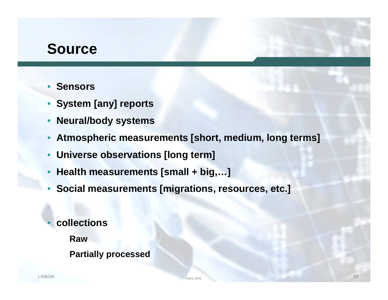### **Source**

- **Sensors**
- **System [any] reports**
- **Neural/body systems**
- **Atmospheric measurements [short, medium, long terms]**
- **Universe observations [long term]**
- **Health measurements [small + big,…]**
- **Social measurements [migrations, resources, etc.]**
- **collections**
	- **Raw**
	- **Partially processed**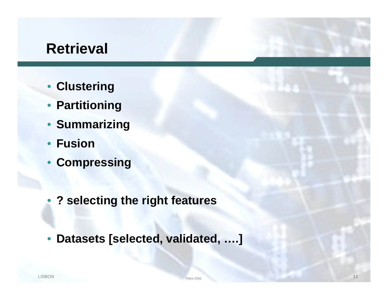#### **Retrieval**

- **Clustering**
- **Partitioning**
- **Summarizing**
- **Fusion**
- **Compressing**
- **? selecting the right features**
- **Datasets [selected, validated, ….]**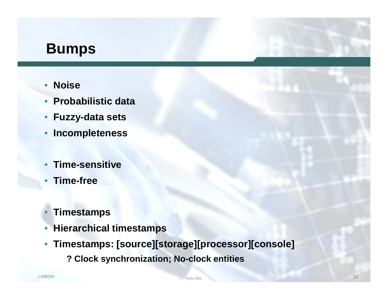### **Bumps**

- **Noise**
- **Probabilistic data**
- **Fuzzy-data sets**
- **Incompleteness**
- **Time-sensitive**
- **Time-free**
- **Timestamps**
- **Hierarchical timestamps**
- **Timestamps: [source][storage][processor][console]**
	- **? Clock synchronization; No-clock entities**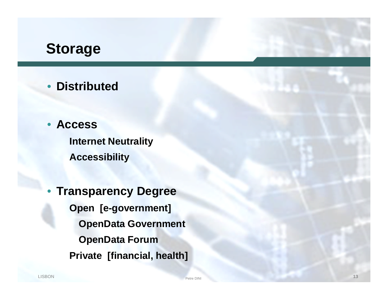### **Storage**

- **Distributed**
- **Access**

**Internet Neutrality Accessibility**

• **Transparency Degree Open [e-government] OpenData Government OpenData Forum Private [financial, health]**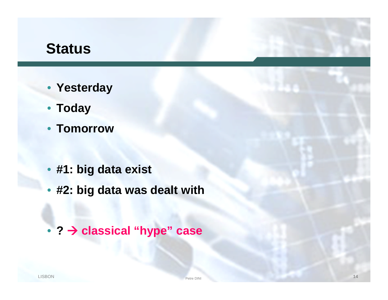### **Status**

- **Yesterday**
- **Today**
- **Tomorrow**
- **#1: big data exist**
- **#2: big data was dealt with**
- **? classical "hype" case**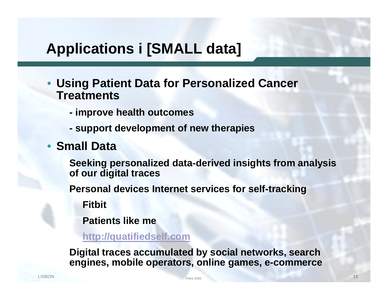## **Applications i [SMALL data]**

- **Using Patient Data for Personalized Cancer Treatments**
	- **- improve health outcomes**
	- **- support development of new therapies**
- **Small Data**

**Seeking personalized data-derived insights from analysis of our digital traces**

**Personal devices Internet services for self-tracking**

**Fitbit**

**Patients like me**

**http://quatifiedself.com**

**Digital traces accumulated by social networks, search engines, mobile operators, online games, e-commerce**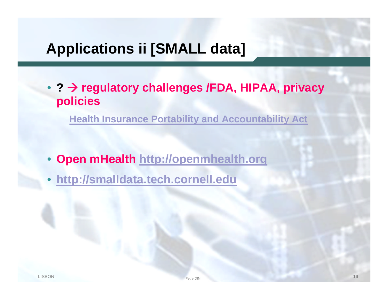## **Applications ii [SMALL data]**

• **? regulatory challenges /FDA, HIPAA, privacy policies**

**Health Insurance Portability and Accountability Act**

- **Open mHealth http://openmhealth.org**
- **http://smalldata.tech.cornell.edu**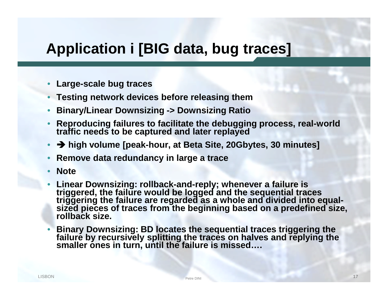### **Application i [BIG data, bug traces]**

- **Large-scale bug traces**
- **Testing network devices before releasing them**
- **Binary/Linear Downsizing -> Downsizing Ratio**
- **Reproducing failures to facilitate the debugging process, real-world traffic needs to be captured and later replayed**
- **high volume [peak-hour, at Beta Site, 20Gbytes, 30 minutes]**
- **Remove data redundancy in large a trace**
- **Note**
- **Linear Downsizing: rollback-and-reply; whenever a failure is triggered, the failure would be logged and the sequential traces triggering the failure are regarded as a whole and divided into equalsized pieces of traces from the beginning based on a predefined size, rollback size.**
- **Binary Downsizing: BD locates the sequential traces triggering the failure by recursively splitting the traces on halves and replying the smaller ones in turn, until the failure is missed….**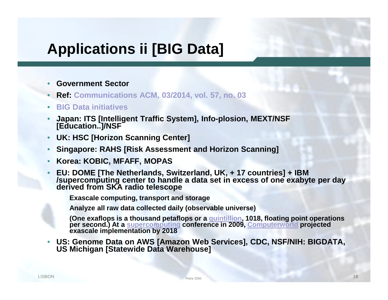## **Applications ii [BIG Data]**

- **Government Sector**
- **Ref: Communications ACM, 03/2014, vol. 57, no. 03**
- **BIG Data initiatives**
- **Japan: ITS [Intelligent Traffic System], Info-plosion, MEXT/NSF [Education..]/NSF**
- **UK: HSC [Horizon Scanning Center]**
- **Singapore: RAHS [Risk Assessment and Horizon Scanning]**
- **Korea: KOBIC, MFAFF, MOPAS**
- **EU: DOME [The Netherlands, Switzerland, UK, + 17 countries] + IBM /supercomputing center to handle a data set in excess of one exabyte per day derived from SKA radio telescope**

**Exascale computing, transport and storage**

**Analyze all raw data collected daily (observable universe)**

**(One exaflops is a thousand petaflops or a quintillion, 1018, floating point operations per second.) At a supercomputing conference in 2009, Computerworld projected exascale implementation by 2018**

• **US: Genome Data on AWS [Amazon Web Services], CDC, NSF/NIH: BIGDATA, US Michigan [Statewide Data Warehouse]**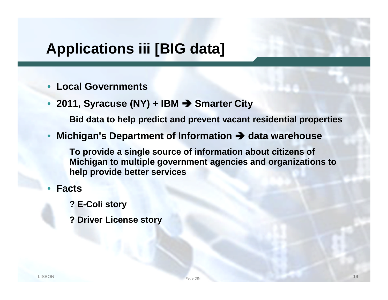## **Applications iii [BIG data]**

- **Local Governments**
- **2011, Syracuse (NY) + IBM Smarter City**

**Bid data to help predict and prevent vacant residential properties**

• **Michigan's Department of Information data warehouse**

**To provide a single source of information about citizens of Michigan to multiple government agencies and organizations to help provide better services**

- **Facts**
	- **? E-Coli story**
	- **? Driver License story**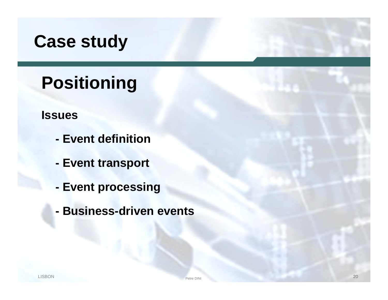# **Case study**

# **Positioning**

#### **Issues**

- **- Event definition**
- **- Event transport**
- **- Event processing**
- **- Business-driven events**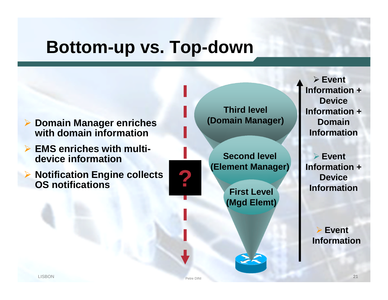# **Bottom-up vs. Top-down**



- **EMS enriches with multidevice information**
- **▶ Notification Engine collects OS notifications**

**Third level (Domain Manager)**

**Second level (Element Manager)**

> **First Level (Mgd Elemt)**

 **Event Information + Device Information + Domain Information**

 **Event Information + Particular Property Service**<br> **Eiret Level Property**<br> **Device** 

> **Event Information**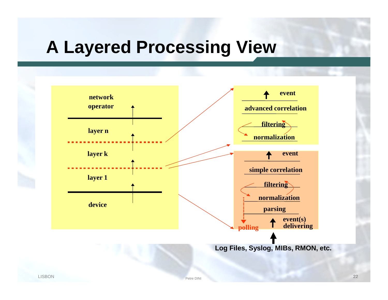# **A Layered Processing View**

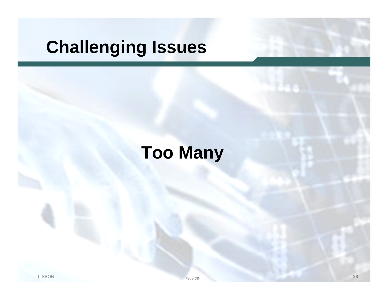# **Challenging Issues**

# **Too Many**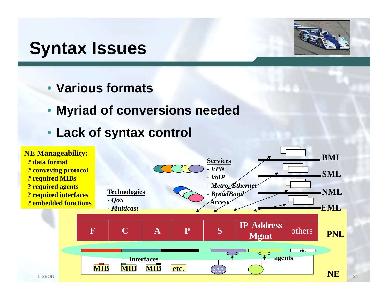# **Syntax Issues**



- **Various formats**
- **Myriad of conversions needed**
- **Lack of syntax control**

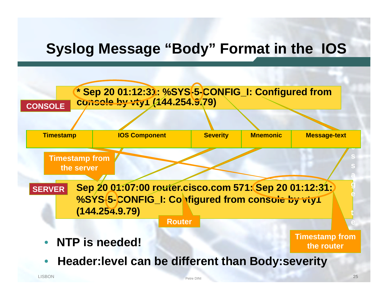## **Syslog Message "Body" Format in the IOS**

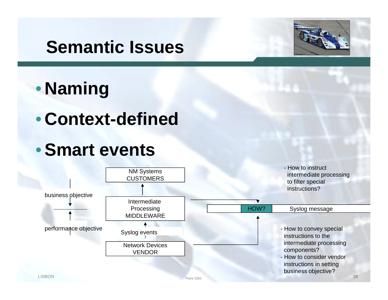# **Semantic Issues**



# • **Naming**

• **Context-defined**

# •**Smart events**

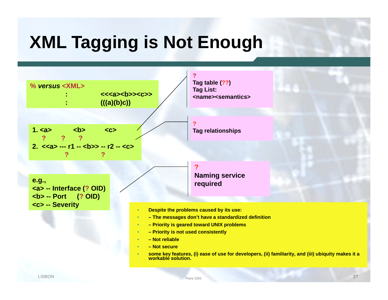# **XML Tagging is Not Enough**

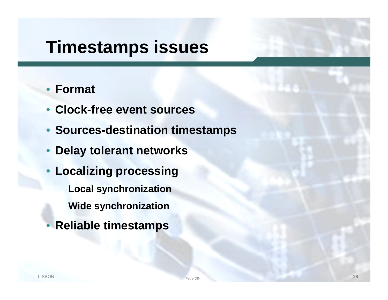# **Timestamps issues**

#### • **Format**

- **Clock-free event sources**
- **Sources-destination timestamps**
- **Delay tolerant networks**
- **Localizing processing Local synchronization Wide synchronization**
- **Reliable timestamps**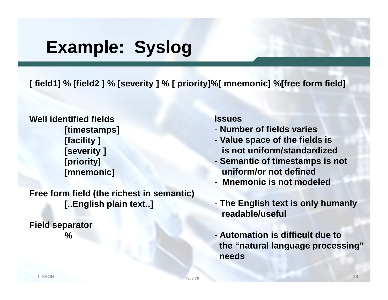# **Example: Syslog**

**[ field1] % [field2 ] % [severity ] % [ priority]%[ mnemonic] %[free form field]**

**Well identified fields [timestamps] [facility ] [severity ] [priority] [mnemonic]**

**Free form field (the richest in semantic) [..English plain text..]**

**Field separator %**

#### **Issues**

- **Number of fields varies**
- **Value space of the fields is is not uniform/standardized**
- **Semantic of timestamps is not uniform/or not defined**
- **Mnemonic is not modeled**
- **The English text is only humanly readable/useful**
- **Automation is difficult due to the "natural language processing" needs**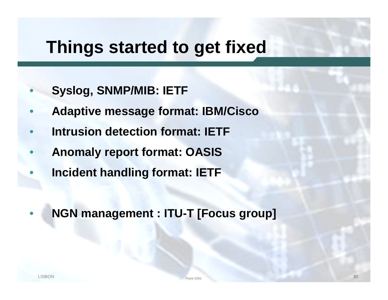# **Things started to get fixed**

- **Syslog, SNMP/MIB: IETF**
- **Adaptive message format: IBM/Cisco**
- **Intrusion detection format: IETF**
- **Anomaly report format: OASIS**
- **Incident handling format: IETF**
- **NGN management : ITU-T [Focus group]**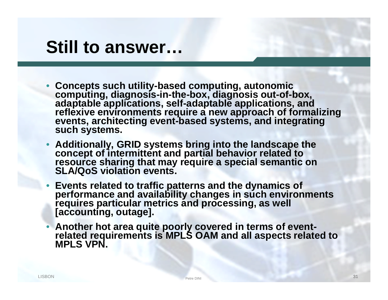# **Still to answer…**

- **Concepts such utility-based computing, autonomic computing, diagnosis-in-the-box, diagnosis out-of-box, adaptable applications, self-adaptable applications, and reflexive environments require a new approach of formalizing events, architecting event-based systems, and integrating such systems.**
- **Additionally, GRID systems bring into the landscape the concept of intermittent and partial behavior related to resource sharing that may require a special semantic on SLA/QoS violation events.**
- **Events related to traffic patterns and the dynamics of performance and availability changes in such environments requires particular metrics and processing, as well [accounting, outage].**
- **Another hot area quite poorly covered in terms of eventrelated requirements is MPLS OAM and all aspects related to MPLS VPN.**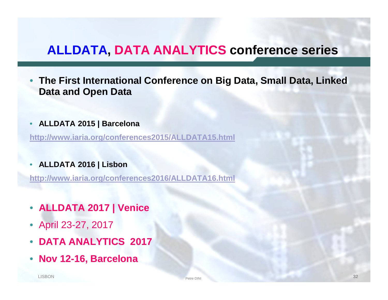#### **ALLDATA, DATA ANALYTICS conference series**

- **The First International Conference on Big Data, Small Data, Linked Data and Open Data**
- **ALLDATA 2015 | Barcelona**

**http://www.iaria.org/conferences2015/ALLDATA15.html**

• **ALLDATA 2016 | Lisbon**

**http://www.iaria.org/conferences2016/ALLDATA16.html**

- **ALLDATA 2017 | Venice**
- April 23-27, 2017
- **DATA ANALYTICS 2017**
- **Nov 12-16, Barcelona**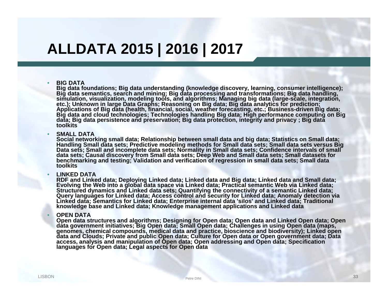## **ALLDATA 2015 | 2016 | 2017**

#### • **BIG DATA**

**Big data foundations; Big data understanding (knowledge discovery, learning, consumer intelligence); Big data semantics, search and mining; Big data processing and transformations; Big data handling, simulation, visualization, modeling tools, and algorithms; Managing big data (large-scale, integration, etc.); Unknown in large Data Graphs; Reasoning on Big data; Big data analytics for prediction; Applications of Big data (health, financial, social, weather forecasting, etc.; Business-driven Big data; Big data and cloud technologies; Technologies handling Big data; High performance computing on Big data; Big data persistence and preservation; Big data protection, integrity and privacy ; Big data toolkits**

#### • **SMALL DATA**

**Social networking small data; Relationship between small data and big data; Statistics on Small data; Handling Small data sets; Predictive modeling methods for Small data sets; Small data sets versus Big** Data sets; Small and incomplete data sets; Normality in Small data sets; Confidence intervals of small **data sets; Causal discovery from Small data sets; Deep Web and Small data sets; Small datasets for benchmarking and testing; Validation and verification of regression in small data sets; Small data toolkits**

#### • **LINKED DATA**

**RDF and Linked data; Deploying Linked data; Linked data and Big data; Linked data and Small data; Evolving the Web into a global data space via Linked data; Practical semantic Web via Linked data; Structured dynamics and Linked data sets; Quantifying the connectivity of a semantic Linked data; Query languages for Linked data; Access control and security for Linked data; Anomaly detection via Linked data; Semantics for Linked data; Enterprise internal data 'silos' and Linked data; Traditional knowledge base and Linked data; Knowledge management applications and Linked data**

#### • **OPEN DATA**

**Open data structures and algorithms; Designing for Open data; Open data and Linked Open data; Open data government initiatives; Big Open data; Small Open data; Challenges in using Open data (maps, genomes, chemical compounds, medical data and practice, bioscience and biodiversity); Linked open data and Clouds; Private and public Open data; Culture for Open data or Open government data; Data access, analysis and manipulation of Open data; Open addressing and Open data; Specification languages for Open data; Legal aspects for Open data**